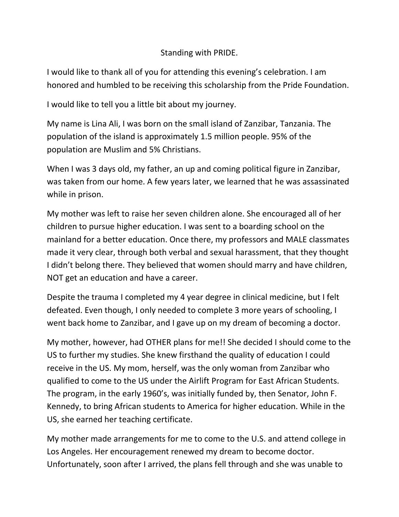## Standing with PRIDE.

I would like to thank all of you for attending this evening's celebration. I am honored and humbled to be receiving this scholarship from the Pride Foundation.

I would like to tell you a little bit about my journey.

My name is Lina Ali, I was born on the small island of Zanzibar, Tanzania. The population of the island is approximately 1.5 million people. 95% of the population are Muslim and 5% Christians.

When I was 3 days old, my father, an up and coming political figure in Zanzibar, was taken from our home. A few years later, we learned that he was assassinated while in prison.

My mother was left to raise her seven children alone. She encouraged all of her children to pursue higher education. I was sent to a boarding school on the mainland for a better education. Once there, my professors and MALE classmates made it very clear, through both verbal and sexual harassment, that they thought I didn't belong there. They believed that women should marry and have children, NOT get an education and have a career.

Despite the trauma I completed my 4 year degree in clinical medicine, but I felt defeated. Even though, I only needed to complete 3 more years of schooling, I went back home to Zanzibar, and I gave up on my dream of becoming a doctor.

My mother, however, had OTHER plans for me!! She decided I should come to the US to further my studies. She knew firsthand the quality of education I could receive in the US. My mom, herself, was the only woman from Zanzibar who qualified to come to the US under the Airlift Program for East African Students. The program, in the early 1960's, was initially funded by, then Senator, John F. Kennedy, to bring African students to America for higher education. While in the US, she earned her teaching certificate.

My mother made arrangements for me to come to the U.S. and attend college in Los Angeles. Her encouragement renewed my dream to become doctor. Unfortunately, soon after I arrived, the plans fell through and she was unable to